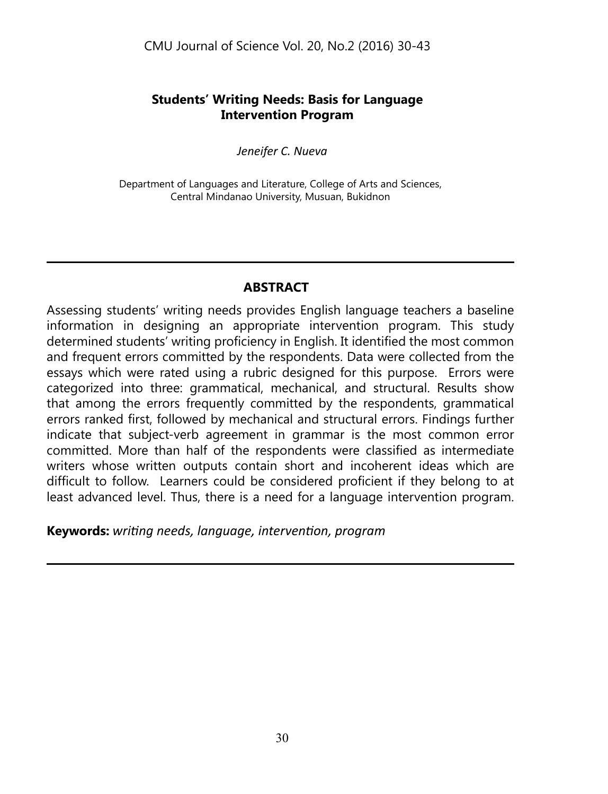# **Students' Writing Needs: Basis for Language Intervention Program**

*Jeneifer C. Nueva*

Department of Languages and Literature, College of Arts and Sciences, Central Mindanao University, Musuan, Bukidnon

# **Abstract**

Assessing students' writing needs provides English language teachers a baseline information in designing an appropriate intervention program. This study determined students' writing proficiency in English. It identified the most common and frequent errors committed by the respondents. Data were collected from the essays which were rated using a rubric designed for this purpose. Errors were categorized into three: grammatical, mechanical, and structural. Results show that among the errors frequently committed by the respondents, grammatical errors ranked first, followed by mechanical and structural errors. Findings further indicate that subject-verb agreement in grammar is the most common error committed. More than half of the respondents were classified as intermediate writers whose written outputs contain short and incoherent ideas which are difficult to follow. Learners could be considered proficient if they belong to at least advanced level. Thus, there is a need for a language intervention program.

**Keywords:** *writing needs, language, intervention, program*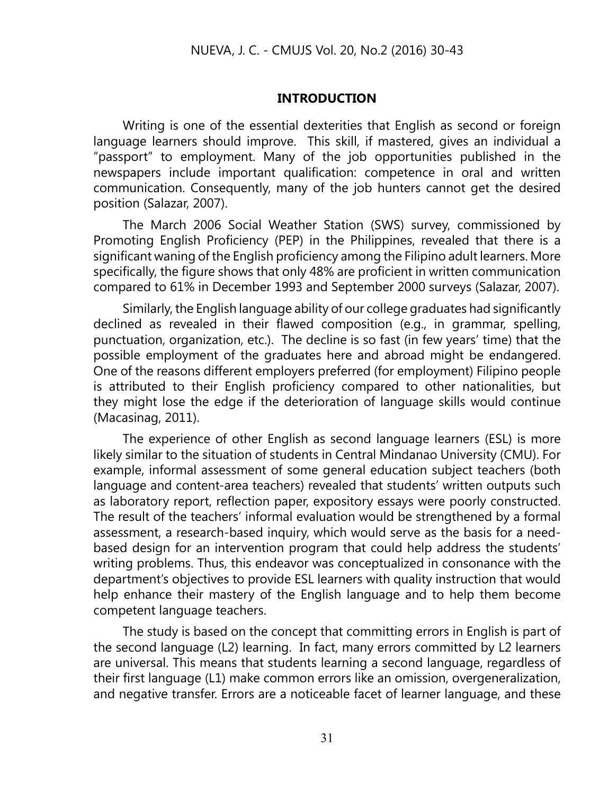### **Introduction**

Writing is one of the essential dexterities that English as second or foreign language learners should improve. This skill, if mastered, gives an individual a "passport" to employment. Many of the job opportunities published in the newspapers include important qualification: competence in oral and written communication. Consequently, many of the job hunters cannot get the desired position (Salazar, 2007).

The March 2006 Social Weather Station (SWS) survey, commissioned by Promoting English Proficiency (PEP) in the Philippines, revealed that there is a significant waning of the English proficiency among the Filipino adult learners. More specifically, the figure shows that only 48% are proficient in written communication compared to 61% in December 1993 and September 2000 surveys (Salazar, 2007).

Similarly, the English language ability of our college graduates had significantly declined as revealed in their flawed composition (e.g., in grammar, spelling, punctuation, organization, etc.). The decline is so fast (in few years' time) that the possible employment of the graduates here and abroad might be endangered. One of the reasons different employers preferred (for employment) Filipino people is attributed to their English proficiency compared to other nationalities, but they might lose the edge if the deterioration of language skills would continue (Macasinag, 2011).

The experience of other English as second language learners (ESL) is more likely similar to the situation of students in Central Mindanao University (CMU). For example, informal assessment of some general education subject teachers (both language and content-area teachers) revealed that students' written outputs such as laboratory report, reflection paper, expository essays were poorly constructed. The result of the teachers' informal evaluation would be strengthened by a formal assessment, a research-based inquiry, which would serve as the basis for a needbased design for an intervention program that could help address the students' writing problems. Thus, this endeavor was conceptualized in consonance with the department's objectives to provide ESL learners with quality instruction that would help enhance their mastery of the English language and to help them become competent language teachers.

The study is based on the concept that committing errors in English is part of the second language (L2) learning. In fact, many errors committed by L2 learners are universal. This means that students learning a second language, regardless of their first language (L1) make common errors like an omission, overgeneralization, and negative transfer. Errors are a noticeable facet of learner language, and these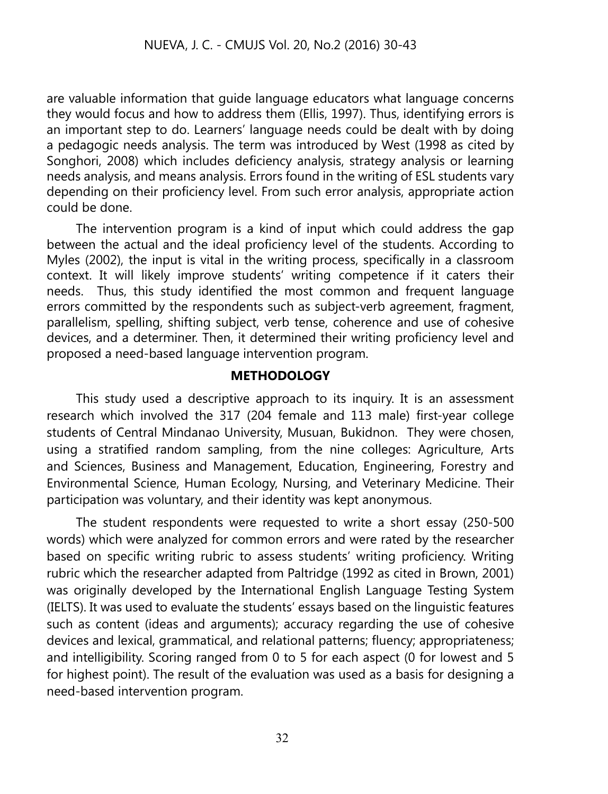are valuable information that guide language educators what language concerns they would focus and how to address them (Ellis, 1997). Thus, identifying errors is an important step to do. Learners' language needs could be dealt with by doing a pedagogic needs analysis. The term was introduced by West (1998 as cited by Songhori, 2008) which includes deficiency analysis, strategy analysis or learning needs analysis, and means analysis. Errors found in the writing of ESL students vary depending on their proficiency level. From such error analysis, appropriate action could be done.

The intervention program is a kind of input which could address the gap between the actual and the ideal proficiency level of the students. According to Myles (2002), the input is vital in the writing process, specifically in a classroom context. It will likely improve students' writing competence if it caters their needs. Thus, this study identified the most common and frequent language errors committed by the respondents such as subject-verb agreement, fragment, parallelism, spelling, shifting subject, verb tense, coherence and use of cohesive devices, and a determiner. Then, it determined their writing proficiency level and proposed a need-based language intervention program.

## **METHODOLOGY**

This study used a descriptive approach to its inquiry. It is an assessment research which involved the 317 (204 female and 113 male) first-year college students of Central Mindanao University, Musuan, Bukidnon. They were chosen, using a stratified random sampling, from the nine colleges: Agriculture, Arts and Sciences, Business and Management, Education, Engineering, Forestry and Environmental Science, Human Ecology, Nursing, and Veterinary Medicine. Their participation was voluntary, and their identity was kept anonymous.

The student respondents were requested to write a short essay (250-500 words) which were analyzed for common errors and were rated by the researcher based on specific writing rubric to assess students' writing proficiency. Writing rubric which the researcher adapted from Paltridge (1992 as cited in Brown, 2001) was originally developed by the International English Language Testing System (IELTS). It was used to evaluate the students' essays based on the linguistic features such as content (ideas and arguments); accuracy regarding the use of cohesive devices and lexical, grammatical, and relational patterns; fluency; appropriateness; and intelligibility. Scoring ranged from 0 to 5 for each aspect (0 for lowest and 5 for highest point). The result of the evaluation was used as a basis for designing a need-based intervention program.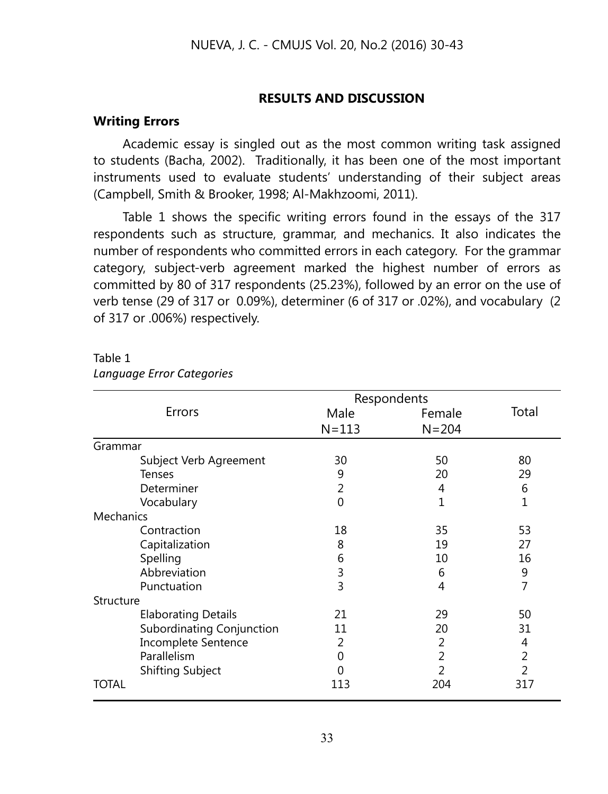## **RESULTS AND DISCUSSION**

## **Writing Errors**

Academic essay is singled out as the most common writing task assigned to students (Bacha, 2002). Traditionally, it has been one of the most important instruments used to evaluate students' understanding of their subject areas (Campbell, Smith & Brooker, 1998; Al-Makhzoomi, 2011).

Table 1 shows the specific writing errors found in the essays of the 317 respondents such as structure, grammar, and mechanics. It also indicates the number of respondents who committed errors in each category. For the grammar category, subject-verb agreement marked the highest number of errors as committed by 80 of 317 respondents (25.23%), followed by an error on the use of verb tense (29 of 317 or 0.09%), determiner (6 of 317 or .02%), and vocabulary (2 of 317 or .006%) respectively.

|           |                            | Respondents |                |                |  |  |
|-----------|----------------------------|-------------|----------------|----------------|--|--|
|           | Errors                     | Male        | Female         | Total          |  |  |
|           |                            | $N = 113$   | $N = 204$      |                |  |  |
| Grammar   |                            |             |                |                |  |  |
|           | Subject Verb Agreement     | 30          | 50             | 80             |  |  |
|           | <b>Tenses</b>              | 9           | 20             | 29             |  |  |
|           | Determiner                 | 2           | 4              | 6              |  |  |
|           | Vocabulary                 | $\Omega$    | 1              | 1              |  |  |
| Mechanics |                            |             |                |                |  |  |
|           | Contraction                | 18          | 35             | 53             |  |  |
|           | Capitalization             | 8           | 19             | 27             |  |  |
|           | Spelling                   | 6           | 10             | 16             |  |  |
|           | Abbreviation               | 3           | 6              | 9              |  |  |
|           | Punctuation                | 3           | 4              | 7              |  |  |
| Structure |                            |             |                |                |  |  |
|           | <b>Elaborating Details</b> | 21          | 29             | 50             |  |  |
|           | Subordinating Conjunction  | 11          | 20             | 31             |  |  |
|           | Incomplete Sentence        | 2           | 2              | 4              |  |  |
|           | Parallelism                | 0           | $\mathfrak{D}$ | $\overline{2}$ |  |  |
|           | Shifting Subject           | 0           | 2              | $\mathfrak{D}$ |  |  |
| TOTAL     |                            | 113         | 204            | 317            |  |  |

### Table 1 *Language Error Categories*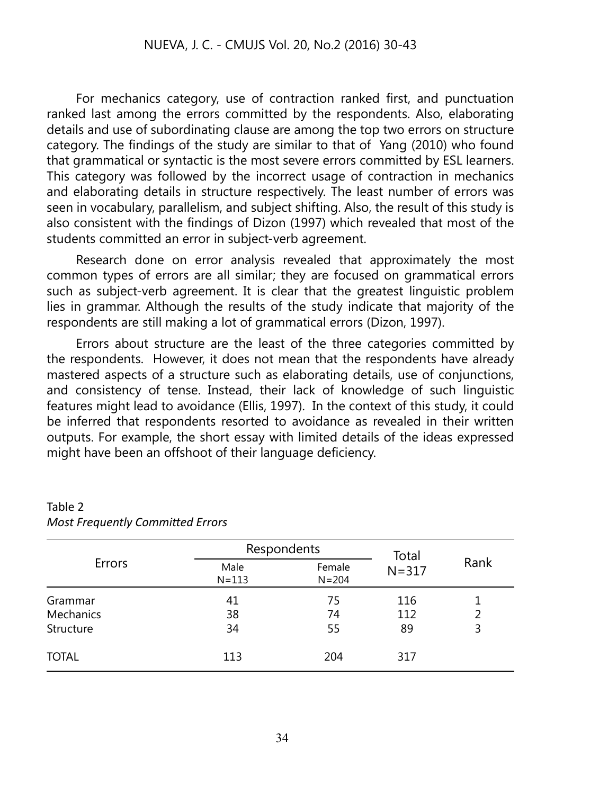For mechanics category, use of contraction ranked first, and punctuation ranked last among the errors committed by the respondents. Also, elaborating details and use of subordinating clause are among the top two errors on structure category. The findings of the study are similar to that of Yang (2010) who found that grammatical or syntactic is the most severe errors committed by ESL learners. This category was followed by the incorrect usage of contraction in mechanics and elaborating details in structure respectively. The least number of errors was seen in vocabulary, parallelism, and subject shifting. Also, the result of this study is also consistent with the findings of Dizon (1997) which revealed that most of the students committed an error in subject-verb agreement.

Research done on error analysis revealed that approximately the most common types of errors are all similar; they are focused on grammatical errors such as subject-verb agreement. It is clear that the greatest linguistic problem lies in grammar. Although the results of the study indicate that majority of the respondents are still making a lot of grammatical errors (Dizon, 1997).

Errors about structure are the least of the three categories committed by the respondents. However, it does not mean that the respondents have already mastered aspects of a structure such as elaborating details, use of conjunctions, and consistency of tense. Instead, their lack of knowledge of such linguistic features might lead to avoidance (Ellis, 1997). In the context of this study, it could be inferred that respondents resorted to avoidance as revealed in their written outputs. For example, the short essay with limited details of the ideas expressed might have been an offshoot of their language deficiency.

|              |                   | Respondents         | Total     |      |
|--------------|-------------------|---------------------|-----------|------|
| Errors       | Male<br>$N = 113$ | Female<br>$N = 204$ | $N = 317$ | Rank |
| Grammar      | 41                | 75                  | 116       |      |
| Mechanics    | 38                | 74                  | 112       |      |
| Structure    | 34                | 55                  | 89        | 3    |
| <b>TOTAL</b> | 113               | 204                 | 317       |      |

## Table 2 *Most Frequently Committed Errors*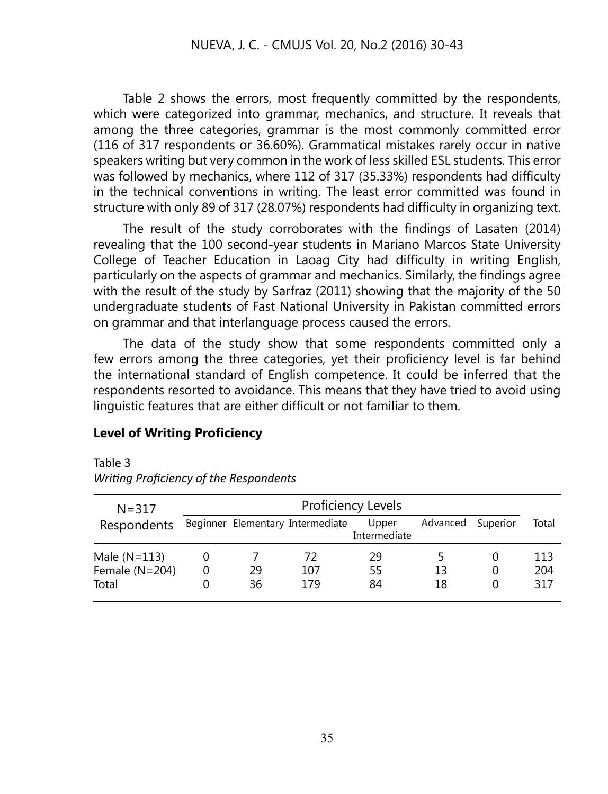Table 2 shows the errors, most frequently committed by the respondents, which were categorized into grammar, mechanics, and structure. It reveals that among the three categories, grammar is the most commonly committed error (116 of 317 respondents or 36.60%). Grammatical mistakes rarely occur in native speakers writing but very common in the work of less skilled ESL students. This error was followed by mechanics, where 112 of 317 (35.33%) respondents had difficulty in the technical conventions in writing. The least error committed was found in structure with only 89 of 317 (28.07%) respondents had difficulty in organizing text.

The result of the study corroborates with the findings of Lasaten (2014) revealing that the 100 second-year students in Mariano Marcos State University College of Teacher Education in Laoag City had difficulty in writing English, particularly on the aspects of grammar and mechanics. Similarly, the findings agree with the result of the study by Sarfraz (2011) showing that the majority of the 50 undergraduate students of Fast National University in Pakistan committed errors on grammar and that interlanguage process caused the errors.

The data of the study show that some respondents committed only a few errors among the three categories, yet their proficiency level is far behind the international standard of English competence. It could be inferred that the respondents resorted to avoidance. This means that they have tried to avoid using linguistic features that are either difficult or not familiar to them.

# **Level of Writing Proficiency**

# Table 3

| $N = 317$        |   | Proficiency Levels |                                  |                       |          |              |       |  |
|------------------|---|--------------------|----------------------------------|-----------------------|----------|--------------|-------|--|
| Respondents      |   |                    | Beginner Elementary Intermediate | Upper<br>Intermediate | Advanced | Superior     | Total |  |
| Male $(N=113)$   | O |                    | 72                               | 29                    |          | O            | 113   |  |
| Female $(N=204)$ | 0 | 29                 | 107                              | 55                    | 13       | 0            | 204   |  |
| Total            |   | 36                 | 179                              | 84                    | 18       | $\mathbf{0}$ | 317   |  |

*Writing Proficiency of the Respondents*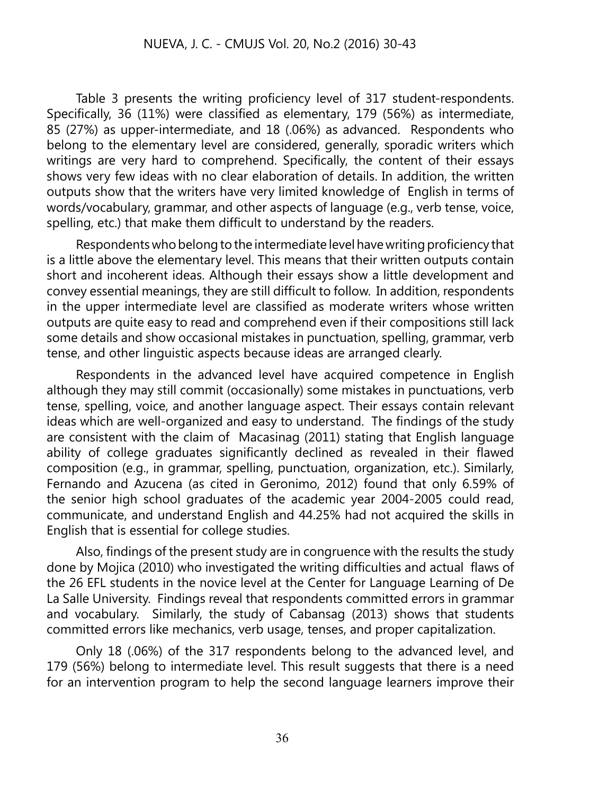Table 3 presents the writing proficiency level of 317 student-respondents. Specifically, 36 (11%) were classified as elementary, 179 (56%) as intermediate, 85 (27%) as upper-intermediate, and 18 (.06%) as advanced. Respondents who belong to the elementary level are considered, generally, sporadic writers which writings are very hard to comprehend. Specifically, the content of their essays shows very few ideas with no clear elaboration of details. In addition, the written outputs show that the writers have very limited knowledge of English in terms of words/vocabulary, grammar, and other aspects of language (e.g., verb tense, voice, spelling, etc.) that make them difficult to understand by the readers.

Respondents who belong to the intermediate level have writing proficiency that is a little above the elementary level. This means that their written outputs contain short and incoherent ideas. Although their essays show a little development and convey essential meanings, they are still difficult to follow. In addition, respondents in the upper intermediate level are classified as moderate writers whose written outputs are quite easy to read and comprehend even if their compositions still lack some details and show occasional mistakes in punctuation, spelling, grammar, verb tense, and other linguistic aspects because ideas are arranged clearly.

Respondents in the advanced level have acquired competence in English although they may still commit (occasionally) some mistakes in punctuations, verb tense, spelling, voice, and another language aspect. Their essays contain relevant ideas which are well-organized and easy to understand. The findings of the study are consistent with the claim of Macasinag (2011) stating that English language ability of college graduates significantly declined as revealed in their flawed composition (e.g., in grammar, spelling, punctuation, organization, etc.). Similarly, Fernando and Azucena (as cited in Geronimo, 2012) found that only 6.59% of the senior high school graduates of the academic year 2004-2005 could read, communicate, and understand English and 44.25% had not acquired the skills in English that is essential for college studies.

Also, findings of the present study are in congruence with the results the study done by Mojica (2010) who investigated the writing difficulties and actual flaws of the 26 EFL students in the novice level at the Center for Language Learning of De La Salle University. Findings reveal that respondents committed errors in grammar and vocabulary. Similarly, the study of Cabansag (2013) shows that students committed errors like mechanics, verb usage, tenses, and proper capitalization.

Only 18 (.06%) of the 317 respondents belong to the advanced level, and 179 (56%) belong to intermediate level. This result suggests that there is a need for an intervention program to help the second language learners improve their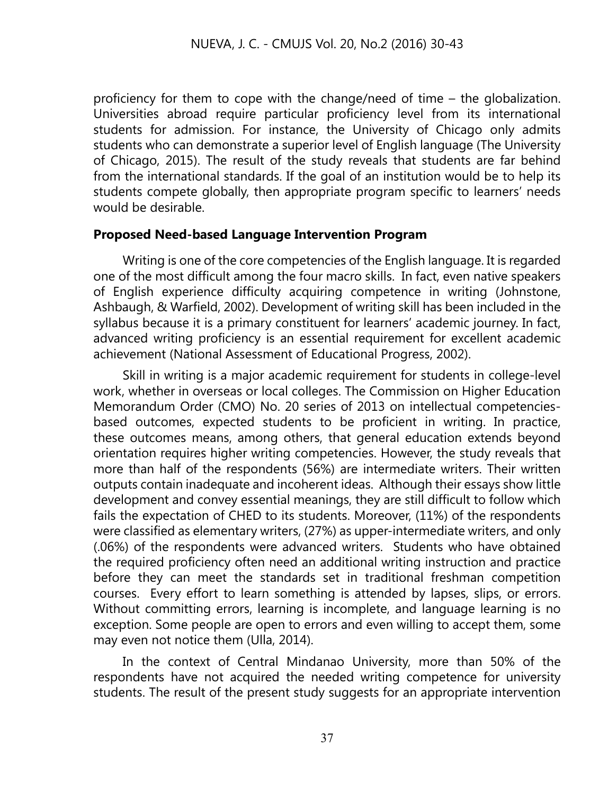proficiency for them to cope with the change/need of time – the globalization. Universities abroad require particular proficiency level from its international students for admission. For instance, the University of Chicago only admits students who can demonstrate a superior level of English language (The University of Chicago, 2015). The result of the study reveals that students are far behind from the international standards. If the goal of an institution would be to help its students compete globally, then appropriate program specific to learners' needs would be desirable.

## **Proposed Need-based Language Intervention Program**

Writing is one of the core competencies of the English language. It is regarded one of the most difficult among the four macro skills. In fact, even native speakers of English experience difficulty acquiring competence in writing (Johnstone, Ashbaugh, & Warfield, 2002). Development of writing skill has been included in the syllabus because it is a primary constituent for learners' academic journey. In fact, advanced writing proficiency is an essential requirement for excellent academic achievement (National Assessment of Educational Progress, 2002).

Skill in writing is a major academic requirement for students in college-level work, whether in overseas or local colleges. The Commission on Higher Education Memorandum Order (CMO) No. 20 series of 2013 on intellectual competenciesbased outcomes, expected students to be proficient in writing. In practice, these outcomes means, among others, that general education extends beyond orientation requires higher writing competencies. However, the study reveals that more than half of the respondents (56%) are intermediate writers. Their written outputs contain inadequate and incoherent ideas. Although their essays show little development and convey essential meanings, they are still difficult to follow which fails the expectation of CHED to its students. Moreover, (11%) of the respondents were classified as elementary writers, (27%) as upper-intermediate writers, and only (.06%) of the respondents were advanced writers. Students who have obtained the required proficiency often need an additional writing instruction and practice before they can meet the standards set in traditional freshman competition courses. Every effort to learn something is attended by lapses, slips, or errors. Without committing errors, learning is incomplete, and language learning is no exception. Some people are open to errors and even willing to accept them, some may even not notice them (Ulla, 2014).

In the context of Central Mindanao University, more than 50% of the respondents have not acquired the needed writing competence for university students. The result of the present study suggests for an appropriate intervention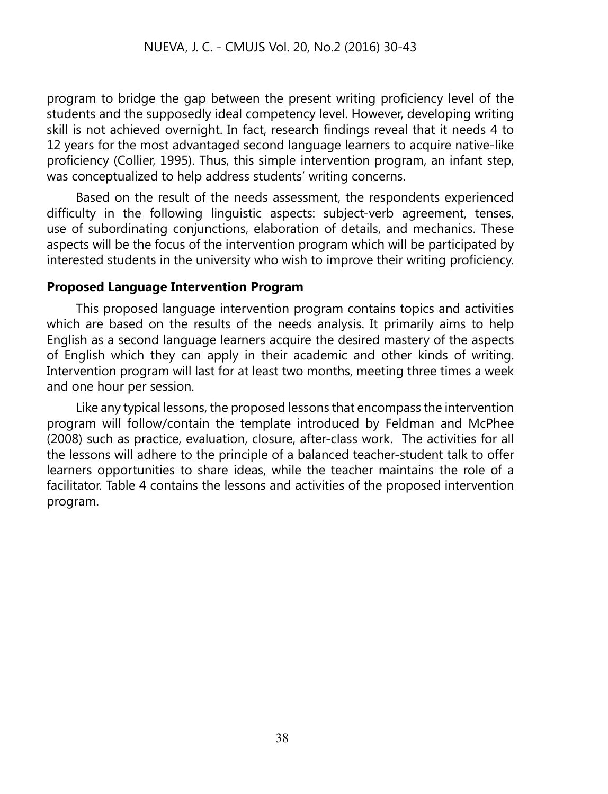program to bridge the gap between the present writing proficiency level of the students and the supposedly ideal competency level. However, developing writing skill is not achieved overnight. In fact, research findings reveal that it needs 4 to 12 years for the most advantaged second language learners to acquire native-like proficiency (Collier, 1995). Thus, this simple intervention program, an infant step, was conceptualized to help address students' writing concerns.

Based on the result of the needs assessment, the respondents experienced difficulty in the following linguistic aspects: subject-verb agreement, tenses, use of subordinating conjunctions, elaboration of details, and mechanics. These aspects will be the focus of the intervention program which will be participated by interested students in the university who wish to improve their writing proficiency.

# **Proposed Language Intervention Program**

This proposed language intervention program contains topics and activities which are based on the results of the needs analysis. It primarily aims to help English as a second language learners acquire the desired mastery of the aspects of English which they can apply in their academic and other kinds of writing. Intervention program will last for at least two months, meeting three times a week and one hour per session.

Like any typical lessons, the proposed lessons that encompass the intervention program will follow/contain the template introduced by Feldman and McPhee (2008) such as practice, evaluation, closure, after-class work. The activities for all the lessons will adhere to the principle of a balanced teacher-student talk to offer learners opportunities to share ideas, while the teacher maintains the role of a facilitator. Table 4 contains the lessons and activities of the proposed intervention program.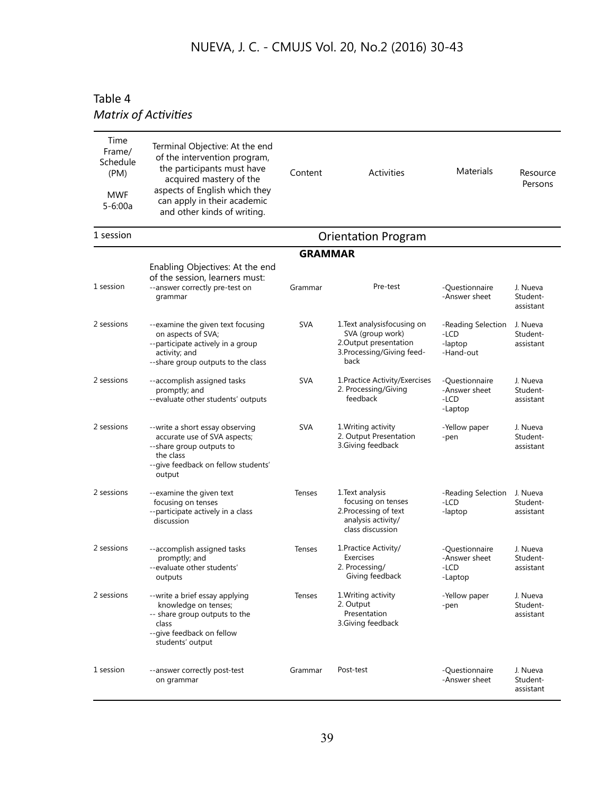# Table 4 *Matrix of Activities*

| Time<br>Frame/<br>Schedule<br>(PM)<br><b>MWF</b><br>$5 - 6:00a$ | Terminal Objective: At the end<br>of the intervention program,<br>the participants must have<br>acquired mastery of the<br>aspects of English which they<br>can apply in their academic<br>and other kinds of writing. | Content        | <b>Activities</b>                                                                                             | Materials                                          | Resource<br>Persons               |  |  |
|-----------------------------------------------------------------|------------------------------------------------------------------------------------------------------------------------------------------------------------------------------------------------------------------------|----------------|---------------------------------------------------------------------------------------------------------------|----------------------------------------------------|-----------------------------------|--|--|
| 1 session                                                       | <b>Orientation Program</b>                                                                                                                                                                                             |                |                                                                                                               |                                                    |                                   |  |  |
|                                                                 |                                                                                                                                                                                                                        | <b>GRAMMAR</b> |                                                                                                               |                                                    |                                   |  |  |
| 1 session                                                       | Enabling Objectives: At the end<br>of the session, learners must:<br>--answer correctly pre-test on<br>grammar                                                                                                         | Grammar        | Pre-test                                                                                                      | -Questionnaire<br>-Answer sheet                    | J. Nueva<br>Student-<br>assistant |  |  |
| 2 sessions                                                      | --examine the given text focusing<br>on aspects of SVA;<br>--participate actively in a group<br>activity; and<br>--share group outputs to the class                                                                    | SVA            | 1.Text analysisfocusing on<br>SVA (group work)<br>2.Output presentation<br>3. Processing/Giving feed-<br>back | -Reading Selection<br>-LCD<br>-laptop<br>-Hand-out | J. Nueva<br>Student-<br>assistant |  |  |
| 2 sessions                                                      | --accomplish assigned tasks<br>promptly; and<br>--evaluate other students' outputs                                                                                                                                     | <b>SVA</b>     | 1. Practice Activity/Exercises<br>2. Processing/Giving<br>feedback                                            | -Questionnaire<br>-Answer sheet<br>-LCD<br>-Laptop | J. Nueva<br>Student-<br>assistant |  |  |
| 2 sessions                                                      | --write a short essay observing<br>accurate use of SVA aspects;<br>--share group outputs to<br>the class<br>--give feedback on fellow students'<br>output                                                              | <b>SVA</b>     | 1. Writing activity<br>2. Output Presentation<br>3.Giving feedback                                            | -Yellow paper<br>-pen                              | J. Nueva<br>Student-<br>assistant |  |  |
| 2 sessions                                                      | --examine the given text<br>focusing on tenses<br>--participate actively in a class<br>discussion                                                                                                                      | Tenses         | 1. Text analysis<br>focusing on tenses<br>2. Processing of text<br>analysis activity/<br>class discussion     | -Reading Selection<br>-LCD<br>-laptop              | J. Nueva<br>Student-<br>assistant |  |  |
| 2 sessions                                                      | --accomplish assigned tasks<br>promptly; and<br>--evaluate other students'<br>outputs                                                                                                                                  | <b>Tenses</b>  | 1. Practice Activity/<br>Exercises<br>2. Processing/<br>Giving feedback                                       | -Questionnaire<br>-Answer sheet<br>-LCD<br>-Laptop | J. Nueva<br>Student-<br>assistant |  |  |
| 2 sessions                                                      | --write a brief essay applying<br>knowledge on tenses;<br>-- share group outputs to the<br>class<br>-- give feedback on fellow<br>students' output                                                                     | Tenses         | 1. Writing activity<br>2. Output<br>Presentation<br>3.Giving feedback                                         | -Yellow paper<br>-pen                              | J. Nueva<br>Student-<br>assistant |  |  |
| 1 session                                                       | --answer correctly post-test<br>on grammar                                                                                                                                                                             | Grammar        | Post-test                                                                                                     | -Questionnaire<br>-Answer sheet                    | J. Nueva<br>Student-<br>assistant |  |  |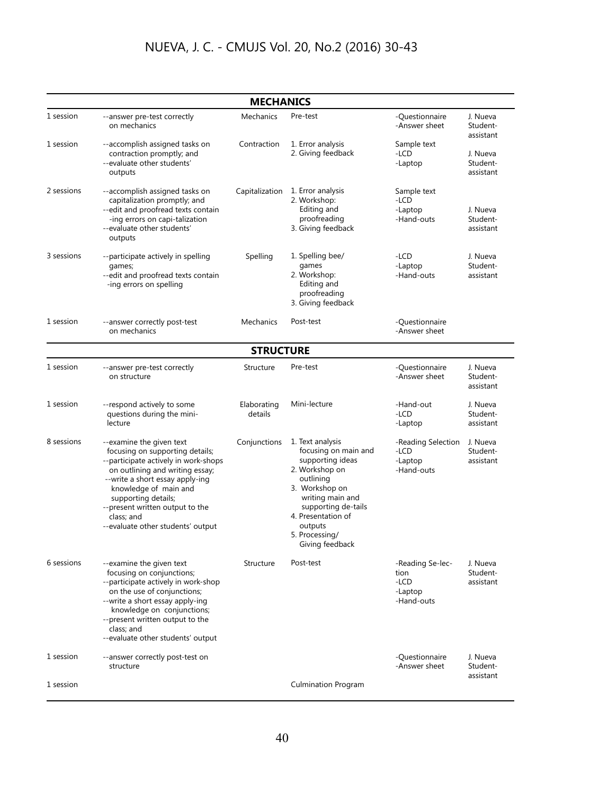| <b>MECHANICS</b> |                                                                                                                                                                                                                                                                                                                 |                        |                                                                                                                                                                                                                                |                                                             |                                   |  |  |  |
|------------------|-----------------------------------------------------------------------------------------------------------------------------------------------------------------------------------------------------------------------------------------------------------------------------------------------------------------|------------------------|--------------------------------------------------------------------------------------------------------------------------------------------------------------------------------------------------------------------------------|-------------------------------------------------------------|-----------------------------------|--|--|--|
| 1 session        | --answer pre-test correctly<br>on mechanics                                                                                                                                                                                                                                                                     | Mechanics              | Pre-test                                                                                                                                                                                                                       | -Questionnaire<br>-Answer sheet                             | J. Nueva<br>Student-<br>assistant |  |  |  |
| 1 session        | --accomplish assigned tasks on<br>contraction promptly; and<br>--evaluate other students'<br>outputs                                                                                                                                                                                                            | Contraction            | 1. Error analysis<br>2. Giving feedback                                                                                                                                                                                        | Sample text<br>-LCD<br>-Laptop                              | J. Nueva<br>Student-<br>assistant |  |  |  |
| 2 sessions       | --accomplish assigned tasks on<br>capitalization promptly; and<br>--edit and proofread texts contain<br>-ing errors on capi-talization<br>--evaluate other students'<br>outputs                                                                                                                                 | Capitalization         | 1. Error analysis<br>2. Workshop:<br>Editing and<br>proofreading<br>3. Giving feedback                                                                                                                                         | Sample text<br>-LCD<br>-Laptop<br>-Hand-outs                | J. Nueva<br>Student-<br>assistant |  |  |  |
| 3 sessions       | --participate actively in spelling<br>games;<br>--edit and proofread texts contain<br>-ing errors on spelling                                                                                                                                                                                                   | Spelling               | 1. Spelling bee/<br>games<br>2. Workshop:<br>Editing and<br>proofreading<br>3. Giving feedback                                                                                                                                 | $-LCD$<br>-Laptop<br>-Hand-outs                             | J. Nueva<br>Student-<br>assistant |  |  |  |
| 1 session        | --answer correctly post-test<br>on mechanics                                                                                                                                                                                                                                                                    | Mechanics              | Post-test                                                                                                                                                                                                                      | -Questionnaire<br>-Answer sheet                             |                                   |  |  |  |
|                  |                                                                                                                                                                                                                                                                                                                 | <b>STRUCTURE</b>       |                                                                                                                                                                                                                                |                                                             |                                   |  |  |  |
| 1 session        | --answer pre-test correctly<br>on structure                                                                                                                                                                                                                                                                     | Structure              | Pre-test                                                                                                                                                                                                                       | -Questionnaire<br>-Answer sheet                             | J. Nueva<br>Student-<br>assistant |  |  |  |
| 1 session        | --respond actively to some<br>questions during the mini-<br>lecture                                                                                                                                                                                                                                             | Elaborating<br>details | Mini-lecture                                                                                                                                                                                                                   | -Hand-out<br>-LCD<br>-Laptop                                | J. Nueva<br>Student-<br>assistant |  |  |  |
| 8 sessions       | --examine the given text<br>focusing on supporting details;<br>--participate actively in work-shops<br>on outlining and writing essay;<br>--write a short essay apply-ing<br>knowledge of main and<br>supporting details;<br>--present written output to the<br>class; and<br>--evaluate other students' output | Conjunctions           | 1. Text analysis<br>focusing on main and<br>supporting ideas<br>2. Workshop on<br>outlining<br>3. Workshop on<br>writing main and<br>supporting de-tails<br>4. Presentation of<br>outputs<br>5. Processing/<br>Giving feedback | -Reading Selection<br>-LCD<br>-Laptop<br>-Hand-outs         | J. Nueva<br>Student-<br>assistant |  |  |  |
| 6 sessions       | --examine the given text<br>focusing on conjunctions;<br>--participate actively in work-shop<br>on the use of conjunctions;<br>--write a short essay apply-ing<br>knowledge on conjunctions;<br>--present written output to the<br>class; and<br>--evaluate other students' output                              | Structure              | Post-test                                                                                                                                                                                                                      | -Reading Se-lec-<br>tion<br>$-LCD$<br>-Laptop<br>-Hand-outs | J. Nueva<br>Student-<br>assistant |  |  |  |
| 1 session        | --answer correctly post-test on<br>structure                                                                                                                                                                                                                                                                    |                        |                                                                                                                                                                                                                                | -Questionnaire<br>-Answer sheet                             | J. Nueva<br>Student-              |  |  |  |
| 1 session        |                                                                                                                                                                                                                                                                                                                 |                        | <b>Culmination Program</b>                                                                                                                                                                                                     |                                                             | assistant                         |  |  |  |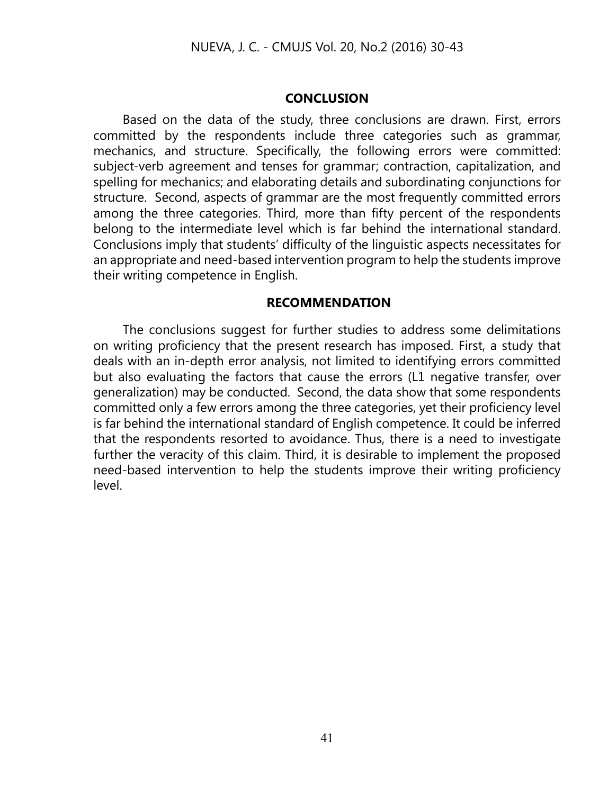#### **CONCLUSION**

Based on the data of the study, three conclusions are drawn. First, errors committed by the respondents include three categories such as grammar, mechanics, and structure. Specifically, the following errors were committed: subject-verb agreement and tenses for grammar; contraction, capitalization, and spelling for mechanics; and elaborating details and subordinating conjunctions for structure. Second, aspects of grammar are the most frequently committed errors among the three categories. Third, more than fifty percent of the respondents belong to the intermediate level which is far behind the international standard. Conclusions imply that students' difficulty of the linguistic aspects necessitates for an appropriate and need-based intervention program to help the students improve their writing competence in English.

#### **RECOMMENDATION**

The conclusions suggest for further studies to address some delimitations on writing proficiency that the present research has imposed. First, a study that deals with an in-depth error analysis, not limited to identifying errors committed but also evaluating the factors that cause the errors (L1 negative transfer, over generalization) may be conducted. Second, the data show that some respondents committed only a few errors among the three categories, yet their proficiency level is far behind the international standard of English competence. It could be inferred that the respondents resorted to avoidance. Thus, there is a need to investigate further the veracity of this claim. Third, it is desirable to implement the proposed need-based intervention to help the students improve their writing proficiency level.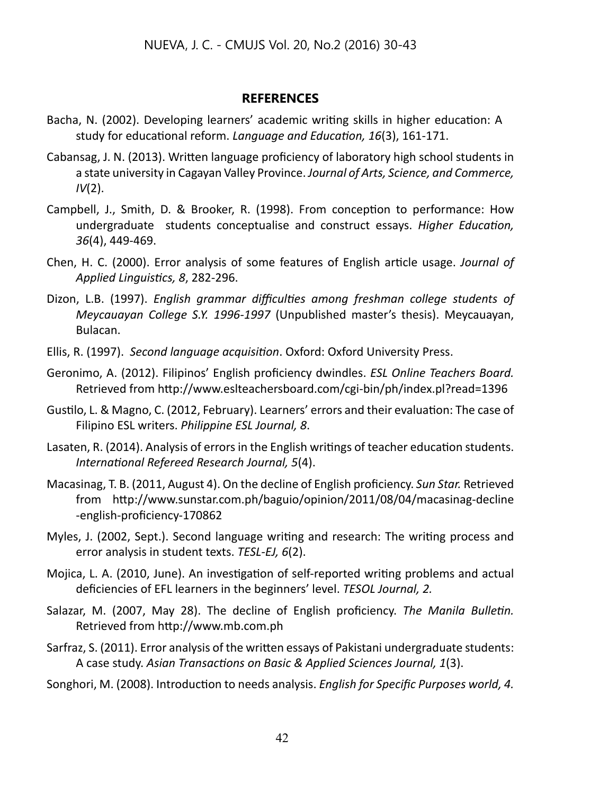## **REFERENCES**

- Bacha, N. (2002). Developing learners' academic writing skills in higher education: A study for educational reform. *Language and Education, 16*(3), 161-171.
- Cabansag, J. N. (2013). Written language proficiency of laboratory high school students in a state university in Cagayan Valley Province. *Journal of Arts, Science, and Commerce, IV*(2).
- Campbell, J., Smith, D. & Brooker, R. (1998). From conception to performance: How undergraduate students conceptualise and construct essays. *Higher Education, 36*(4), 449-469.
- Chen, H. C. (2000). Error analysis of some features of English article usage. *Journal of Applied Linguistics, 8*, 282-296.
- Dizon, L.B. (1997). *English grammar difficulties among freshman college students of Meycauayan College S.Y. 1996-1997* (Unpublished master's thesis). Meycauayan, Bulacan.
- Ellis, R. (1997). *Second language acquisition*. Oxford: Oxford University Press.
- Geronimo, A. (2012). Filipinos' English proficiency dwindles. *ESL Online Teachers Board.* Retrieved from http://www.eslteachersboard.com/cgi-bin/ph/index.pl?read=1396
- Gustilo, L. & Magno, C. (2012, February). Learners' errors and their evaluation: The case of Filipino ESL writers. *Philippine ESL Journal, 8*.
- Lasaten, R. (2014). Analysis of errors in the English writings of teacher education students. *International Refereed Research Journal, 5*(4).
- Macasinag, T. B. (2011, August 4). On the decline of English proficiency. *Sun Star.* Retrieved from http://www.sunstar.com.ph/baguio/opinion/2011/08/04/macasinag-decline -english-proficiency-170862
- Myles, J. (2002, Sept.). Second language writing and research: The writing process and error analysis in student texts. *TESL-EJ, 6*(2).
- Mojica, L. A. (2010, June). An investigation of self-reported writing problems and actual deficiencies of EFL learners in the beginners' level. *TESOL Journal, 2.*
- Salazar, M. (2007, May 28). The decline of English proficiency. *The Manila Bulletin.*  Retrieved from http://www.mb.com.ph
- Sarfraz, S. (2011). Error analysis of the written essays of Pakistani undergraduate students: A case study. *Asian Transactions on Basic & Applied Sciences Journal, 1*(3).
- Songhori, M. (2008). Introduction to needs analysis. *English for Specific Purposes world, 4.*